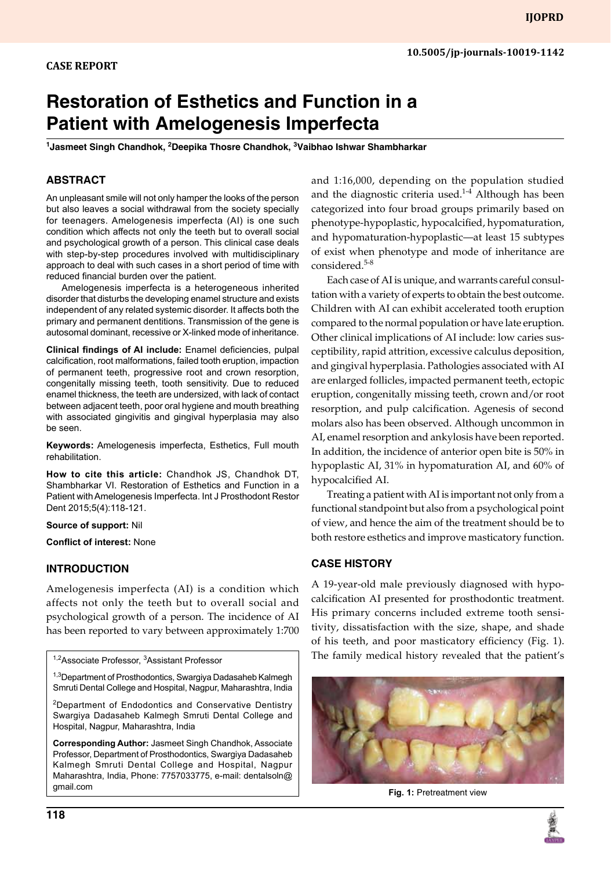# **Restoration of Esthetics and Function in a Patient with Amelogenesis Imperfecta**

<sup>1</sup>Jasmeet Singh Chandhok, <sup>2</sup>Deepika Thosre Chandhok, <sup>3</sup>Vaibhao Ishwar Shambharkar

## **Abstract**

An unpleasant smile will not only hamper the looks of the person but also leaves a social withdrawal from the society specially for teenagers. Amelogenesis imperfecta (AI) is one such condition which affects not only the teeth but to overall social and psychological growth of a person. This clinical case deals with step-by-step procedures involved with multidisciplinary approach to deal with such cases in a short period of time with reduced financial burden over the patient.

Amelogenesis imperfecta is a heterogeneous inherited disorder that disturbs the developing enamel structure and exists independent of any related systemic disorder. It affects both the primary and permanent dentitions. Transmission of the gene is autosomal dominant, recessive or X-linked mode of inheritance.

**Clinical findings of AI include:** Enamel deficiencies, pulpal calcification, root malformations, failed tooth eruption, impaction of permanent teeth, progressive root and crown resorption, congenitally missing teeth, tooth sensitivity. Due to reduced enamel thickness, the teeth are undersized, with lack of contact between adjacent teeth, poor oral hygiene and mouth breathing with associated gingivitis and gingival hyperplasia may also be seen.

**Keywords:** Amelogenesis imperfecta, Esthetics, Full mouth rehabilitation.

**How to cite this article:** Chandhok JS, Chandhok DT, Shambharkar VI. Restoration of Esthetics and Function in a Patient with Amelogenesis Imperfecta. Int J Prosthodont Restor Dent 2015;5(4):118-121.

#### **Source of support:** Nil

**Conflict of interest:** None

## **INTRODUCTION**

Amelogenesis imperfecta (AI) is a condition which affects not only the teeth but to overall social and psychological growth of a person. The incidence of AI has been reported to vary between approximately 1:700

<sup>1,2</sup>Associate Professor, <sup>3</sup>Assistant Professor

<sup>1,3</sup>Department of Prosthodontics, Swargiya Dadasaheb Kalmegh Smruti Dental College and Hospital, Nagpur, Maharashtra, India

2Department of Endodontics and Conservative Dentistry Swargiya Dadasaheb Kalmegh Smruti Dental College and Hospital, Nagpur, Maharashtra, India

**Corresponding Author:** Jasmeet Singh Chandhok, Associate Professor, Department of Prosthodontics, Swargiya Dadasaheb Kalmegh Smruti Dental College and Hospital, Nagpur Maharashtra, India, Phone: 7757033775, e-mail: dentalsoln@ gmail.com

and 1:16,000, depending on the population studied and the diagnostic criteria used.<sup>1-4</sup> Although has been categorized into four broad groups primarily based on phenotype-hypoplastic, hypocalcified, hypomaturation, and hypomaturation-hypoplastic—at least 15 subtypes of exist when phenotype and mode of inheritance are considered.5-8

Each case of AI is unique, and warrants careful consultation with a variety of experts to obtain the best outcome. Children with AI can exhibit accelerated tooth eruption compared to the normal population or have late eruption. Other clinical implications of AI include: low caries susceptibility, rapid attrition, excessive calculus deposition, and gingival hyperplasia. Pathologies associated with AI are enlarged follicles, impacted permanent teeth, ectopic eruption, congenitally missing teeth, crown and/or root resorption, and pulp calcification. Agenesis of second molars also has been observed. Although uncommon in AI, enamel resorption and ankylosis have been reported. In addition, the incidence of anterior open bite is 50% in hypoplastic AI, 31% in hypomaturation AI, and 60% of hypocalcified AI.

Treating a patient with AI is important not only from a functional standpoint but also from a psychological point of view, and hence the aim of the treatment should be to both restore esthetics and improve masticatory function.

## **Case History**

A 19-year-old male previously diagnosed with hypocalcification AI presented for prosthodontic treatment. His primary concerns included extreme tooth sensitivity, dissatisfaction with the size, shape, and shade of his teeth, and poor masticatory efficiency (Fig. 1). The family medical history revealed that the patient's



**Fig. 1:** Pretreatment view

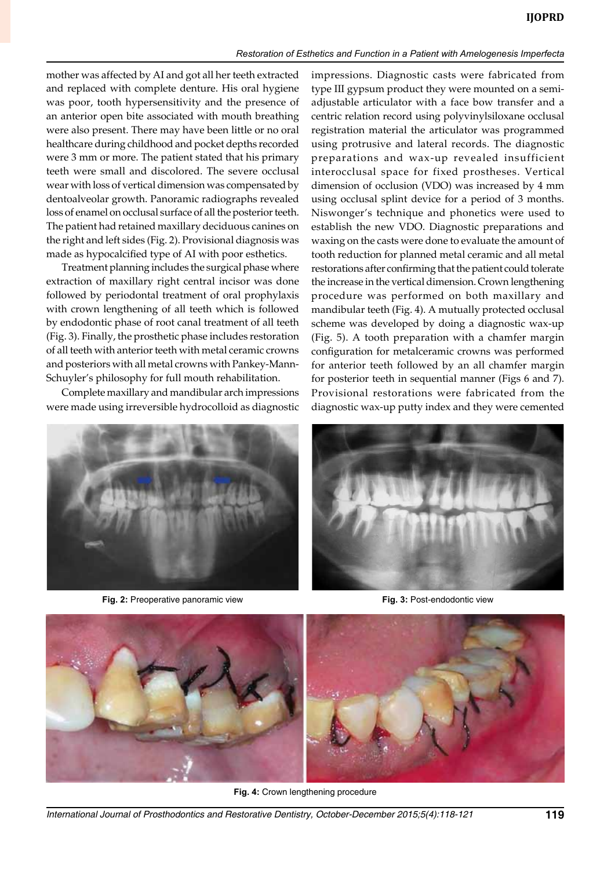#### *Restoration of Esthetics and Function in a Patient with Amelogenesis Imperfecta*

mother was affected by AI and got all her teeth extracted and replaced with complete denture. His oral hygiene was poor, tooth hypersensitivity and the presence of an anterior open bite associated with mouth breathing were also present. There may have been little or no oral healthcare during childhood and pocket depths recorded were 3 mm or more. The patient stated that his primary teeth were small and discolored. The severe occlusal wear with loss of vertical dimension was compensated by dentoalveolar growth. Panoramic radiographs revealed loss of enamel on occlusal surface of all the posterior teeth. The patient had retained maxillary deciduous canines on the right and left sides (Fig. 2). Provisional diagnosis was made as hypocalcified type of AI with poor esthetics.

Treatment planning includes the surgical phase where extraction of maxillary right central incisor was done followed by periodontal treatment of oral prophylaxis with crown lengthening of all teeth which is followed by endodontic phase of root canal treatment of all teeth (Fig. 3). Finally, the prosthetic phase includes restoration of all teeth with anterior teeth with metal ceramic crowns and posteriors with all metal crowns with Pankey-Mann-Schuyler's philosophy for full mouth rehabilitation.

Complete maxillary and mandibular arch impressions were made using irreversible hydrocolloid as diagnostic impressions. Diagnostic casts were fabricated from type III gypsum product they were mounted on a semiadjustable articulator with a face bow transfer and a centric relation record using polyvinylsiloxane occlusal registration material the articulator was programmed using protrusive and lateral records. The diagnostic preparations and wax-up revealed insufficient interocclusal space for fixed prostheses. Vertical dimension of occlusion (VDO) was increased by 4 mm using occlusal splint device for a period of 3 months. Niswonger's technique and phonetics were used to establish the new VDO. Diagnostic preparations and waxing on the casts were done to evaluate the amount of tooth reduction for planned metal ceramic and all metal restorations after confirming that the patient could tolerate the increase in the vertical dimension. Crown lengthening procedure was performed on both maxillary and mandibular teeth (Fig. 4). A mutually protected occlusal scheme was developed by doing a diagnostic wax-up (Fig. 5). A tooth preparation with a chamfer margin configuration for metalceramic crowns was performed for anterior teeth followed by an all chamfer margin for posterior teeth in sequential manner (Figs 6 and 7). Provisional restorations were fabricated from the diagnostic wax-up putty index and they were cemented



**Fig. 2:** Preoperative panoramic view **Fig. 3:** Post-endodontic view





**Fig. 4:** Crown lengthening procedure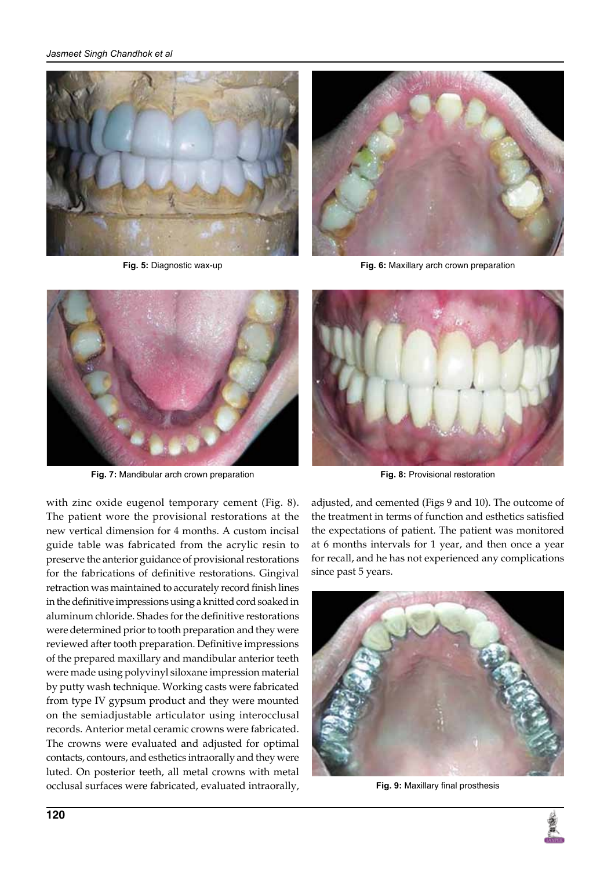



**Fig. 5:** Diagnostic wax-up **Fig. 6:** Maxillary arch crown preparation



**Fig. 7:** Mandibular arch crown preparation

with zinc oxide eugenol temporary cement (Fig. 8). The patient wore the provisional restorations at the new vertical dimension for 4 months. A custom incisal guide table was fabricated from the acrylic resin to preserve the anterior guidance of provisional restorations for the fabrications of definitive restorations. Gingival retraction was maintained to accurately record finish lines in the definitive impressions using a knitted cord soaked in aluminum chloride. Shades for the definitive restorations were determined prior to tooth preparation and they were reviewed after tooth preparation. Definitive impressions of the prepared maxillary and mandibular anterior teeth were made using polyvinyl siloxane impression material by putty wash technique. Working casts were fabricated from type IV gypsum product and they were mounted on the semiadjustable articulator using interocclusal records. Anterior metal ceramic crowns were fabricated. The crowns were evaluated and adjusted for optimal contacts, contours, and esthetics intraorally and they were luted. On posterior teeth, all metal crowns with metal occlusal surfaces were fabricated, evaluated intraorally,



**Fig. 8:** Provisional restoration

adjusted, and cemented (Figs 9 and 10). The outcome of the treatment in terms of function and esthetics satisfied the expectations of patient. The patient was monitored at 6 months intervals for 1 year, and then once a year for recall, and he has not experienced any complications since past 5 years.



**Fig. 9:** Maxillary final prosthesis